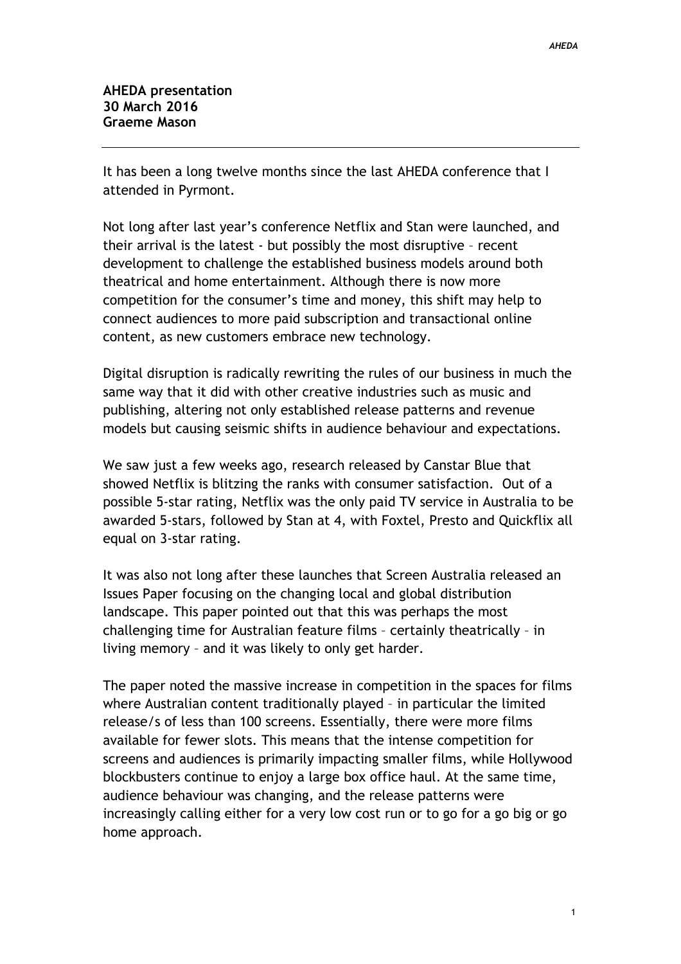It has been a long twelve months since the last AHEDA conference that I attended in Pyrmont.

Not long after last year's conference Netflix and Stan were launched, and their arrival is the latest - but possibly the most disruptive – recent development to challenge the established business models around both theatrical and home entertainment. Although there is now more competition for the consumer's time and money, this shift may help to connect audiences to more paid subscription and transactional online content, as new customers embrace new technology.

Digital disruption is radically rewriting the rules of our business in much the same way that it did with other creative industries such as music and publishing, altering not only established release patterns and revenue models but causing seismic shifts in audience behaviour and expectations.

We saw just a few weeks ago, research released by Canstar Blue that showed Netflix is blitzing the ranks with consumer satisfaction. Out of a possible 5-star rating, Netflix was the only paid TV service in Australia to be awarded 5-stars, followed by Stan at 4, with Foxtel, Presto and Quickflix all equal on 3-star rating.

It was also not long after these launches that Screen Australia released an Issues Paper focusing on the changing local and global distribution landscape. This paper pointed out that this was perhaps the most challenging time for Australian feature films – certainly theatrically – in living memory – and it was likely to only get harder.

The paper noted the massive increase in competition in the spaces for films where Australian content traditionally played – in particular the limited release/s of less than 100 screens. Essentially, there were more films available for fewer slots. This means that the intense competition for screens and audiences is primarily impacting smaller films, while Hollywood blockbusters continue to enjoy a large box office haul. At the same time, audience behaviour was changing, and the release patterns were increasingly calling either for a very low cost run or to go for a go big or go home approach.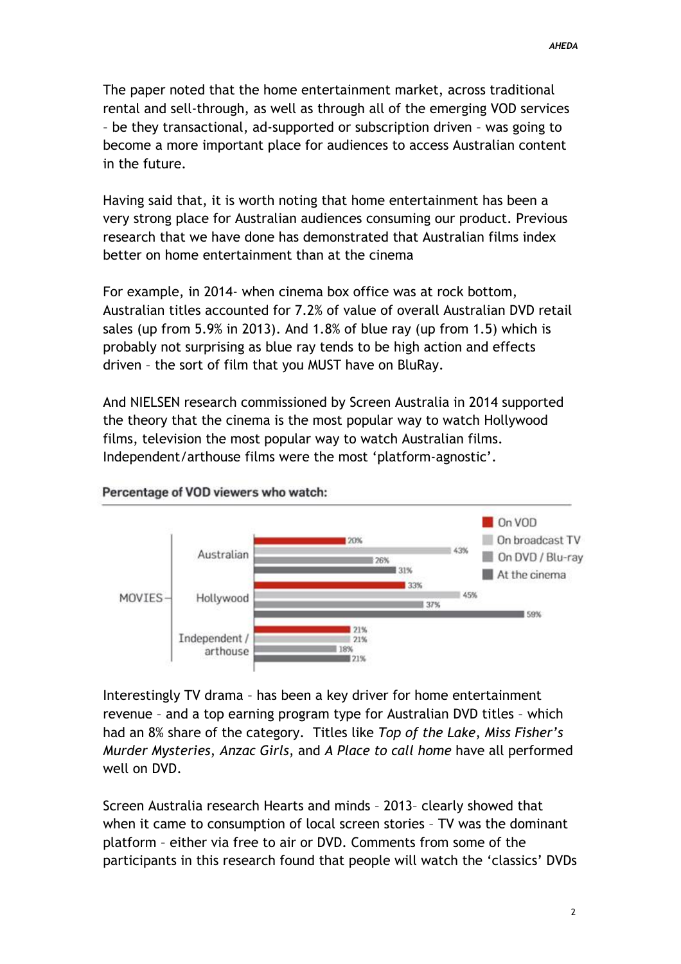The paper noted that the home entertainment market, across traditional rental and sell-through, as well as through all of the emerging VOD services – be they transactional, ad-supported or subscription driven – was going to become a more important place for audiences to access Australian content in the future.

Having said that, it is worth noting that home entertainment has been a very strong place for Australian audiences consuming our product. Previous research that we have done has demonstrated that Australian films index better on home entertainment than at the cinema

For example, in 2014- when cinema box office was at rock bottom, Australian titles accounted for 7.2% of value of overall Australian DVD retail sales (up from 5.9% in 2013). And 1.8% of blue ray (up from 1.5) which is probably not surprising as blue ray tends to be high action and effects driven – the sort of film that you MUST have on BluRay.

And NIELSEN research commissioned by Screen Australia in 2014 supported the theory that the cinema is the most popular way to watch Hollywood films, television the most popular way to watch Australian films. Independent/arthouse films were the most 'platform-agnostic'.



## Percentage of VOD viewers who watch:

Interestingly TV drama – has been a key driver for home entertainment revenue – and a top earning program type for Australian DVD titles – which had an 8% share of the category. Titles like *Top of the Lake*, *Miss Fisher's Murder Mysteries*, *Anzac Girls*, and *A Place to call home* have all performed well on DVD.

Screen Australia research Hearts and minds – 2013– clearly showed that when it came to consumption of local screen stories – TV was the dominant platform – either via free to air or DVD. Comments from some of the participants in this research found that people will watch the 'classics' DVDs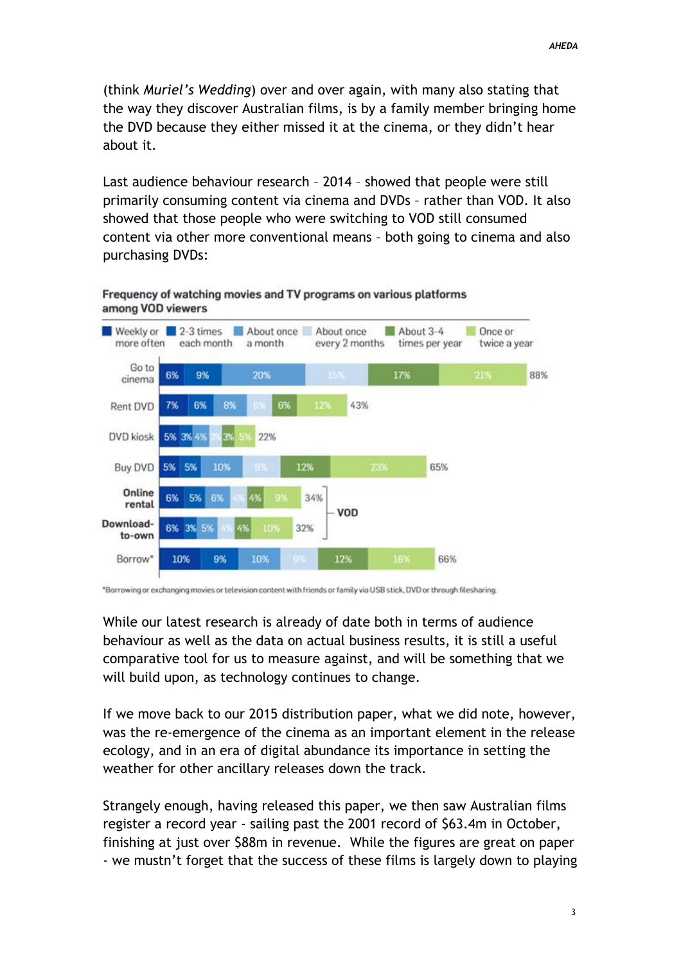(think *Muriel's Wedding*) over and over again, with many also stating that the way they discover Australian films, is by a family member bringing home the DVD because they either missed it at the cinema, or they didn't hear about it.

Last audience behaviour research – 2014 – showed that people were still primarily consuming content via cinema and DVDs – rather than VOD. It also showed that those people who were switching to VOD still consumed content via other more conventional means – both going to cinema and also purchasing DVDs:



## Frequency of watching movies and TV programs on various platforms among VOD viewers

\*Borrowing or exchanging movies or television content with friends or family via USB stick, DVD or through filesharing.

While our latest research is already of date both in terms of audience behaviour as well as the data on actual business results, it is still a useful comparative tool for us to measure against, and will be something that we will build upon, as technology continues to change.

If we move back to our 2015 distribution paper, what we did note, however, was the re-emergence of the cinema as an important element in the release ecology, and in an era of digital abundance its importance in setting the weather for other ancillary releases down the track.

Strangely enough, having released this paper, we then saw Australian films register a record year - sailing past the 2001 record of \$63.4m in October, finishing at just over \$88m in revenue. While the figures are great on paper - we mustn't forget that the success of these films is largely down to playing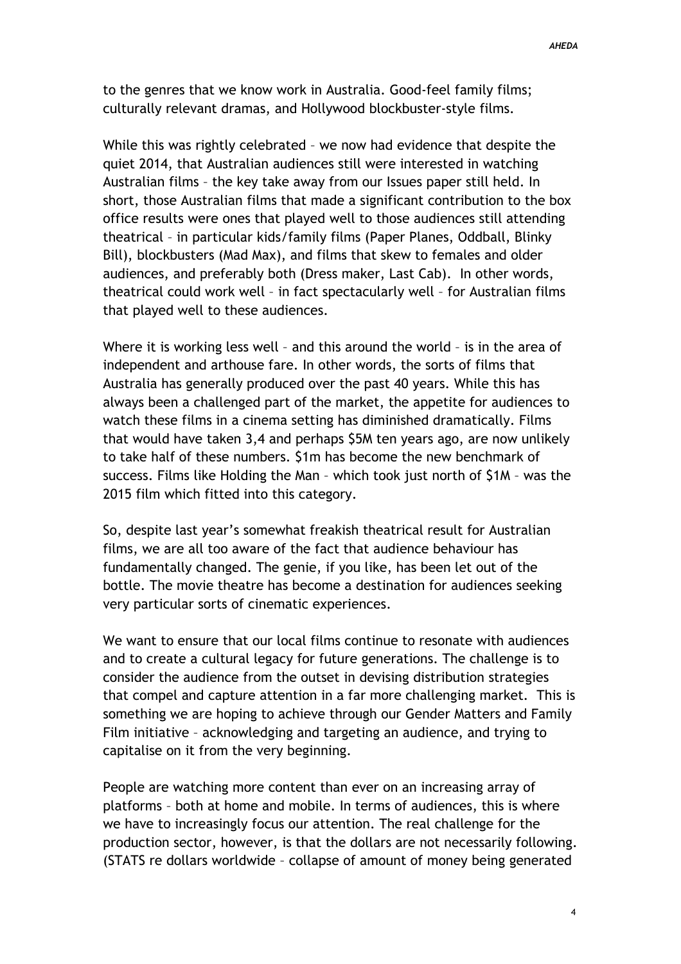to the genres that we know work in Australia. Good-feel family films; culturally relevant dramas, and Hollywood blockbuster-style films.

While this was rightly celebrated – we now had evidence that despite the quiet 2014, that Australian audiences still were interested in watching Australian films – the key take away from our Issues paper still held. In short, those Australian films that made a significant contribution to the box office results were ones that played well to those audiences still attending theatrical – in particular kids/family films (Paper Planes, Oddball, Blinky Bill), blockbusters (Mad Max), and films that skew to females and older audiences, and preferably both (Dress maker, Last Cab). In other words, theatrical could work well – in fact spectacularly well – for Australian films that played well to these audiences.

Where it is working less well – and this around the world – is in the area of independent and arthouse fare. In other words, the sorts of films that Australia has generally produced over the past 40 years. While this has always been a challenged part of the market, the appetite for audiences to watch these films in a cinema setting has diminished dramatically. Films that would have taken 3,4 and perhaps \$5M ten years ago, are now unlikely to take half of these numbers. \$1m has become the new benchmark of success. Films like Holding the Man – which took just north of \$1M – was the 2015 film which fitted into this category.

So, despite last year's somewhat freakish theatrical result for Australian films, we are all too aware of the fact that audience behaviour has fundamentally changed. The genie, if you like, has been let out of the bottle. The movie theatre has become a destination for audiences seeking very particular sorts of cinematic experiences.

We want to ensure that our local films continue to resonate with audiences and to create a cultural legacy for future generations. The challenge is to consider the audience from the outset in devising distribution strategies that compel and capture attention in a far more challenging market. This is something we are hoping to achieve through our Gender Matters and Family Film initiative – acknowledging and targeting an audience, and trying to capitalise on it from the very beginning.

People are watching more content than ever on an increasing array of platforms – both at home and mobile. In terms of audiences, this is where we have to increasingly focus our attention. The real challenge for the production sector, however, is that the dollars are not necessarily following. (STATS re dollars worldwide – collapse of amount of money being generated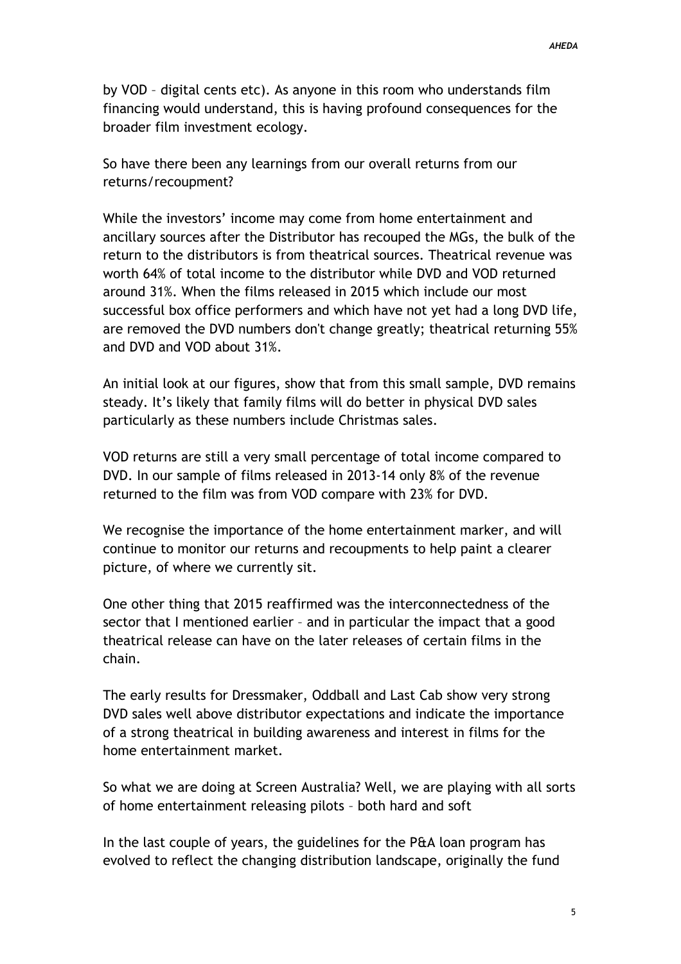by VOD – digital cents etc). As anyone in this room who understands film financing would understand, this is having profound consequences for the broader film investment ecology.

So have there been any learnings from our overall returns from our returns/recoupment?

While the investors' income may come from home entertainment and ancillary sources after the Distributor has recouped the MGs, the bulk of the return to the distributors is from theatrical sources. Theatrical revenue was worth 64% of total income to the distributor while DVD and VOD returned around 31%. When the films released in 2015 which include our most successful box office performers and which have not yet had a long DVD life, are removed the DVD numbers don't change greatly; theatrical returning 55% and DVD and VOD about 31%.

An initial look at our figures, show that from this small sample, DVD remains steady. It's likely that family films will do better in physical DVD sales particularly as these numbers include Christmas sales.

VOD returns are still a very small percentage of total income compared to DVD. In our sample of films released in 2013-14 only 8% of the revenue returned to the film was from VOD compare with 23% for DVD.

We recognise the importance of the home entertainment marker, and will continue to monitor our returns and recoupments to help paint a clearer picture, of where we currently sit.

One other thing that 2015 reaffirmed was the interconnectedness of the sector that I mentioned earlier – and in particular the impact that a good theatrical release can have on the later releases of certain films in the chain.

The early results for Dressmaker, Oddball and Last Cab show very strong DVD sales well above distributor expectations and indicate the importance of a strong theatrical in building awareness and interest in films for the home entertainment market.

So what we are doing at Screen Australia? Well, we are playing with all sorts of home entertainment releasing pilots – both hard and soft

In the last couple of years, the guidelines for the P&A loan program has evolved to reflect the changing distribution landscape, originally the fund